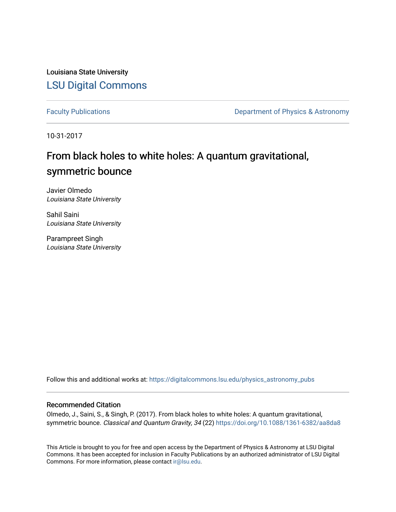Louisiana State University [LSU Digital Commons](https://digitalcommons.lsu.edu/)

[Faculty Publications](https://digitalcommons.lsu.edu/physics_astronomy_pubs) **Exercise 2 and Table 2 and Table 2 and Table 2 and Table 2 and Table 2 and Table 2 and Table 2 and Table 2 and Table 2 and Table 2 and Table 2 and Table 2 and Table 2 and Table 2 and Table 2 and Table** 

10-31-2017

# From black holes to white holes: A quantum gravitational, symmetric bounce

Javier Olmedo Louisiana State University

Sahil Saini Louisiana State University

Parampreet Singh Louisiana State University

Follow this and additional works at: [https://digitalcommons.lsu.edu/physics\\_astronomy\\_pubs](https://digitalcommons.lsu.edu/physics_astronomy_pubs?utm_source=digitalcommons.lsu.edu%2Fphysics_astronomy_pubs%2F5043&utm_medium=PDF&utm_campaign=PDFCoverPages) 

# Recommended Citation

Olmedo, J., Saini, S., & Singh, P. (2017). From black holes to white holes: A quantum gravitational, symmetric bounce. Classical and Quantum Gravity, 34 (22) https://doi.org/10.1088/1361-6382/aa8da8

This Article is brought to you for free and open access by the Department of Physics & Astronomy at LSU Digital Commons. It has been accepted for inclusion in Faculty Publications by an authorized administrator of LSU Digital Commons. For more information, please contact [ir@lsu.edu](mailto:ir@lsu.edu).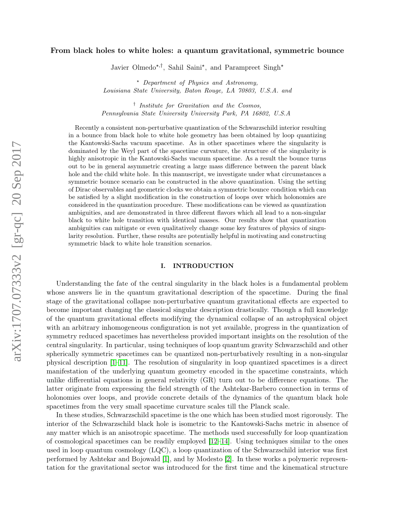# arXiv:1707.07333v2 [gr-qc] 20 Sep 2017 arXiv:1707.07333v2 [gr-qc] 20 Sep 2017

# From black holes to white holes: a quantum gravitational, symmetric bounce

Javier Olmedo<sup>\*,†</sup>, Sahil Saini<sup>\*</sup>, and Parampreet Singh<sup>\*</sup>

? Department of Physics and Astronomy, Louisiana State University, Baton Rouge, LA 70803, U.S.A. and

<sup>†</sup> Institute for Gravitation and the Cosmos, Pennsylvania State University University Park, PA 16802, U.S.A

Recently a consistent non-perturbative quantization of the Schwarzschild interior resulting in a bounce from black hole to white hole geometry has been obtained by loop quantizing the Kantowski-Sachs vacuum spacetime. As in other spacetimes where the singularity is dominated by the Weyl part of the spacetime curvature, the structure of the singularity is highly anisotropic in the Kantowski-Sachs vacuum spacetime. As a result the bounce turns out to be in general asymmetric creating a large mass difference between the parent black hole and the child white hole. In this manuscript, we investigate under what circumstances a symmetric bounce scenario can be constructed in the above quantization. Using the setting of Dirac observables and geometric clocks we obtain a symmetric bounce condition which can be satisfied by a slight modification in the construction of loops over which holonomies are considered in the quantization procedure. These modifications can be viewed as quantization ambiguities, and are demonstrated in three different flavors which all lead to a non-singular black to white hole transition with identical masses. Our results show that quantization ambiguities can mitigate or even qualitatively change some key features of physics of singularity resolution. Further, these results are potentially helpful in motivating and constructing symmetric black to white hole transition scenarios.

## I. INTRODUCTION

Understanding the fate of the central singularity in the black holes is a fundamental problem whose answers lie in the quantum gravitational description of the spacetime. During the final stage of the gravitational collapse non-perturbative quantum gravitational effects are expected to become important changing the classical singular description drastically. Though a full knowledge of the quantum gravitational effects modifying the dynamical collapse of an astrophysical object with an arbitrary inhomogeneous configuration is not yet available, progress in the quantization of symmetry reduced spacetimes has nevertheless provided important insights on the resolution of the central singularity. In particular, using techniques of loop quantum gravity Schwarzschild and other spherically symmetric spacetimes can be quantized non-perturbatively resulting in a non-singular physical description [\[1–](#page-21-0)[11\]](#page-22-0). The resolution of singularity in loop quantized spacetimes is a direct manifestation of the underlying quantum geometry encoded in the spacetime constraints, which unlike differential equations in general relativity (GR) turn out to be difference equations. The latter originate from expressing the field strength of the Ashtekar-Barbero connection in terms of holonomies over loops, and provide concrete details of the dynamics of the quantum black hole spacetimes from the very small spacetime curvature scales till the Planck scale.

In these studies, Schwarzschild spacetime is the one which has been studied most rigorously. The interior of the Schwarzschild black hole is isometric to the Kantowski-Sachs metric in absence of any matter which is an anisotropic spacetime. The methods used successfully for loop quantization of cosmological spacetimes can be readily employed  $[12–14]$  $[12–14]$ . Using techniques similar to the ones used in loop quantum cosmology (LQC), a loop quantization of the Schwarzschild interior was first performed by Ashtekar and Bojowald [\[1\]](#page-21-0), and by Modesto [\[2\]](#page-21-1). In these works a polymeric representation for the gravitational sector was introduced for the first time and the kinematical structure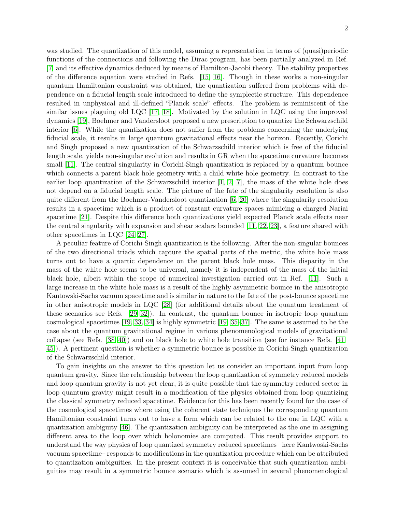was studied. The quantization of this model, assuming a representation in terms of (quasi)periodic functions of the connections and following the Dirac program, has been partially analyzed in Ref. [\[7\]](#page-21-2) and its effective dynamics deduced by means of Hamilton-Jacobi theory. The stability properties of the difference equation were studied in Refs. [\[15,](#page-22-3) [16\]](#page-22-4). Though in these works a non-singular quantum Hamiltonian constraint was obtained, the quantization suffered from problems with dependence on a fiducial length scale introduced to define the symplectic structure. This dependence resulted in unphysical and ill-defined "Planck scale" effects. The problem is reminiscent of the similar issues plaguing old  $LQC$  [\[17,](#page-22-5) [18\]](#page-22-6). Motivated by the solution in  $LQC$  using the improved dynamics [\[19\]](#page-22-7), Boehmer and Vandersloot proposed a new prescription to quantize the Schwarzschild interior [\[6\]](#page-21-3). While the quantization does not suffer from the problems concerning the underlying fiducial scale, it results in large quantum gravitational effects near the horizon. Recently, Corichi and Singh proposed a new quantization of the Schwarzschild interior which is free of the fiducial length scale, yields non-singular evolution and results in GR when the spacetime curvature becomes small [\[11\]](#page-22-0). The central singularity in Corichi-Singh quantization is replaced by a quantum bounce which connects a parent black hole geometry with a child white hole geometry. In contrast to the earlier loop quantization of the Schwarzschild interior [\[1,](#page-21-0) [2,](#page-21-1) [7\]](#page-21-2), the mass of the white hole does not depend on a fiducial length scale. The picture of the fate of the singularity resolution is also quite different from the Boehmer-Vandersloot quantization  $[6, 20]$  $[6, 20]$  where the singularity resolution results in a spacetime which is a product of constant curvature spaces mimicing a charged Nariai spacetime [\[21\]](#page-22-9). Despite this difference both quantizations yield expected Planck scale effects near the central singularity with expansion and shear scalars bounded [\[11,](#page-22-0) [22,](#page-22-10) [23\]](#page-22-11), a feature shared with other spacetimes in LQC [\[24–](#page-22-12)[27\]](#page-22-13).

A peculiar feature of Corichi-Singh quantization is the following. After the non-singular bounces of the two directional triads which capture the spatial parts of the metric, the white hole mass turns out to have a quartic dependence on the parent black hole mass. This disparity in the mass of the white hole seems to be universal, namely it is independent of the mass of the initial black hole, albeit within the scope of numerical investigation carried out in Ref. [\[11\]](#page-22-0). Such a large increase in the white hole mass is a result of the highly asymmetric bounce in the anisotropic Kantowski-Sachs vacuum spacetime and is similar in nature to the fate of the post-bounce spacetime in other anisotropic models in LQC [\[28\]](#page-22-14) (for additional details about the quantum treatment of these scenarios see Refs. [\[29](#page-22-15)[–32\]](#page-22-16)). In contrast, the quantum bounce in isotropic loop quantum cosmological spacetimes [\[19,](#page-22-7) [33,](#page-22-17) [34\]](#page-22-18) is highly symmetric [\[19,](#page-22-7) [35–](#page-22-19)[37\]](#page-22-20). The same is assumed to be the case about the quantum gravitational regime in various phenomenological models of gravitational collapse (see Refs. [\[38–](#page-23-0)[40\]](#page-23-1)) and on black hole to white hole transition (see for instance Refs. [\[41–](#page-23-2) [45\]](#page-23-3)). A pertinent question is whether a symmetric bounce is possible in Corichi-Singh quantization of the Schwarzschild interior.

To gain insights on the answer to this question let us consider an important input from loop quantum gravity. Since the relationship between the loop quantization of symmetry reduced models and loop quantum gravity is not yet clear, it is quite possible that the symmetry reduced sector in loop quantum gravity might result in a modification of the physics obtained from loop quantizing the classical symmetry reduced spacetime. Evidence for this has been recently found for the case of the cosmological spacetimes where using the coherent state techniques the corresponding quantum Hamiltonian constraint turns out to have a form which can be related to the one in LQC with a quantization ambiguity [\[46\]](#page-23-4). The quantization ambiguity can be interpreted as the one in assigning different area to the loop over which holonomies are computed. This result provides support to understand the way physics of loop quantized symmetry reduced spacetimes –here Kantwoski-Sachs vacuum spacetime– responds to modifications in the quantization procedure which can be attributed to quantization ambiguities. In the present context it is conceivable that such quantization ambiguities may result in a symmetric bounce scenario which is assumed in several phenomenological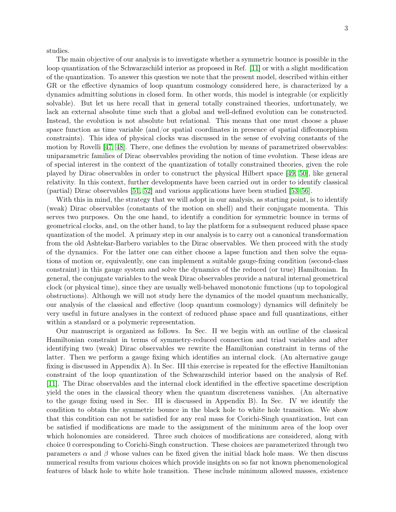studies.

The main objective of our analysis is to investigate whether a symmetric bounce is possible in the loop quantization of the Schwarzschild interior as proposed in Ref. [\[11\]](#page-22-0) or with a slight modification of the quantization. To answer this question we note that the present model, described within either GR or the effective dynamics of loop quantum cosmology considered here, is characterized by a dynamics admitting solutions in closed form. In other words, this model is integrable (or explicitly solvable). But let us here recall that in general totally constrained theories, unfortunately, we lack an external absolute time such that a global and well-defined evolution can be constructed. Instead, the evolution is not absolute but relational. This means that one must choose a phase space function as time variable (and/or spatial coordinates in presence of spatial diffeomorphism constraints). This idea of physical clocks was discussed in the sense of evolving constants of the motion by Rovelli [\[47,](#page-23-5) [48\]](#page-23-6). There, one defines the evolution by means of parametrized observables: uniparametric families of Dirac observables providing the notion of time evolution. These ideas are of special interest in the context of the quantization of totally constrained theories, given the role played by Dirac observables in order to construct the physical Hilbert space [\[49,](#page-23-7) [50\]](#page-23-8), like general relativity. In this context, further developments have been carried out in order to identify classical (partial) Dirac observables [\[51,](#page-23-9) [52\]](#page-23-10) and various applications have been studied [\[53–](#page-23-11)[56\]](#page-23-12).

With this in mind, the strategy that we will adopt in our analysis, as starting point, is to identify (weak) Dirac observables (constants of the motion on shell) and their conjugate momenta. This serves two purposes. On the one hand, to identify a condition for symmetric bounce in terms of geometrical clocks, and, on the other hand, to lay the platform for a subsequent reduced phase space quantization of the model. A primary step in our analysis is to carry out a canonical transformation from the old Ashtekar-Barbero variables to the Dirac observables. We then proceed with the study of the dynamics. For the latter one can either choose a lapse function and then solve the equations of motion or, equivalently, one can implement a suitable gauge-fixing condition (second-class constraint) in this gauge system and solve the dynamics of the reduced (or true) Hamiltonian. In general, the conjugate variables to the weak Dirac observables provide a natural internal geometrical clock (or physical time), since they are usually well-behaved monotonic functions (up to topological obstructions). Although we will not study here the dynamics of the model quantum mechanically, our analysis of the classical and effective (loop quantum cosmology) dynamics will definitely be very useful in future analyses in the context of reduced phase space and full quantizations, either within a standard or a polymeric representation.

Our manuscript is organized as follows. In Sec. II we begin with an outline of the classical Hamiltonian constraint in terms of symmetry-reduced connection and triad variables and after identifying two (weak) Dirac observables we rewrite the Hamiltonian constraint in terms of the latter. Then we perform a gauge fixing which identifies an internal clock. (An alternative gauge fixing is discussed in Appendix A). In Sec. III this exercise is repeated for the effective Hamiltonian constraint of the loop quantization of the Schwarzschild interior based on the analysis of Ref. [\[11\]](#page-22-0). The Dirac observables and the internal clock identified in the effective spacetime description yield the ones in the classical theory when the quantum discreteness vanishes. (An alternative to the gauge fixing used in Sec. III is discussed in Appendix B). In Sec. IV we identify the condition to obtain the symmetric bounce in the black hole to white hole transition. We show that this condition can not be satisfied for any real mass for Corichi-Singh quantization, but can be satisfied if modifications are made to the assignment of the minimum area of the loop over which holonomies are considered. Three such choices of modifications are considered, along with choice 0 corresponding to Corichi-Singh construction. These choices are parameterized through two parameters  $\alpha$  and  $\beta$  whose values can be fixed given the initial black hole mass. We then discuss numerical results from various choices which provide insights on so far not known phenomenological features of black hole to white hole transition. These include minimum allowed masses, existence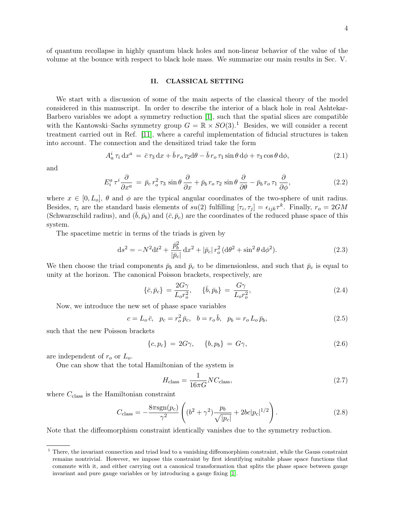of quantum recollapse in highly quantum black holes and non-linear behavior of the value of the volume at the bounce with respect to black hole mass. We summarize our main results in Sec. V.

#### II. CLASSICAL SETTING

We start with a discussion of some of the main aspects of the classical theory of the model considered in this manuscript. In order to describe the interior of a black hole in real Ashtekar-Barbero variables we adopt a symmetry reduction [\[1\]](#page-21-0), such that the spatial slices are compatible with the Kantowski–Sachs symmetry group  $G = \mathbb{R} \times SO(3)$ .<sup>1</sup> Besides, we will consider a recent treatment carried out in Ref. [\[11\]](#page-22-0), where a careful implementation of fiducial structures is taken into account. The connection and the densitized triad take the form

$$
A^i_a \tau_i \, dx^a = \bar{c} \tau_3 \, dx + \bar{b} \, r_o \, \tau_2 \, d\theta - \bar{b} \, r_o \, \tau_1 \sin \theta \, d\phi + \tau_3 \cos \theta \, d\phi,\tag{2.1}
$$

and

$$
E_i^a \tau^i \frac{\partial}{\partial x^a} = \bar{p}_c r_o^2 \tau_3 \sin \theta \frac{\partial}{\partial x} + \bar{p}_b r_o \tau_2 \sin \theta \frac{\partial}{\partial \theta} - \bar{p}_b r_o \tau_1 \frac{\partial}{\partial \phi}, \qquad (2.2)
$$

where  $x \in [0, L_o], \theta$  and  $\phi$  are the typical angular coordinates of the two-sphere of unit radius. Besides,  $\tau_i$  are the standard basis elements of  $su(2)$  fulfilling  $[\tau_i, \tau_j] = \epsilon_{ijk} \tau^k$ . Finally,  $r_o = 2GM$ (Schwarzschild radius), and  $(\bar{b}, \bar{p}_b)$  and  $(\bar{c}, \bar{p}_c)$  are the coordinates of the reduced phase space of this system.

The spacetime metric in terms of the triads is given by

$$
ds^{2} = -N^{2}dt^{2} + \frac{\bar{p}_{b}^{2}}{|\bar{p}_{c}|}dx^{2} + |\bar{p}_{c}|r_{o}^{2}(d\theta^{2} + \sin^{2}\theta d\phi^{2}).
$$
\n(2.3)

We then choose the triad components  $\bar{p}_b$  and  $\bar{p}_c$  to be dimensionless, and such that  $\bar{p}_c$  is equal to unity at the horizon. The canonical Poisson brackets, respectively, are

$$
\{\bar{c}, \bar{p}_c\} = \frac{2G\gamma}{L_o r_o^2}, \quad \{\bar{b}, \bar{p}_b\} = \frac{G\gamma}{L_o r_o^2},\tag{2.4}
$$

Now, we introduce the new set of phase space variables

$$
c = L_o \bar{c}, \ \ p_c = r_o^2 \bar{p}_c, \ \ b = r_o \bar{b}, \ \ p_b = r_o L_o \bar{p}_b,
$$
\n(2.5)

such that the new Poisson brackets

$$
\{c, p_c\} = 2G\gamma, \quad \{b, p_b\} = G\gamma, \tag{2.6}
$$

are independent of  $r_o$  or  $L_o$ .

One can show that the total Hamiltonian of the system is

$$
H_{\text{class}} = \frac{1}{16\pi G} N C_{\text{class}},\tag{2.7}
$$

where  $C_{\text{class}}$  is the Hamiltonian constraint

$$
C_{\text{class}} = -\frac{8\pi \text{sgn}(p_c)}{\gamma^2} \left( (b^2 + \gamma^2) \frac{p_b}{\sqrt{|p_c|}} + 2bc|p_c|^{1/2} \right). \tag{2.8}
$$

Note that the diffeomorphism constraint identically vanishes due to the symmetry reduction.

 $<sup>1</sup>$  There, the invariant connection and triad lead to a vanishing diffeomorphism constraint, while the Gauss constraint</sup> remains nontrivial. However, we impose this constraint by first identifying suitable phase space functions that commute with it, and either carrying out a canonical transformation that splits the phase space between gauge invariant and pure gauge variables or by introducing a gauge fixing [\[1\]](#page-21-0).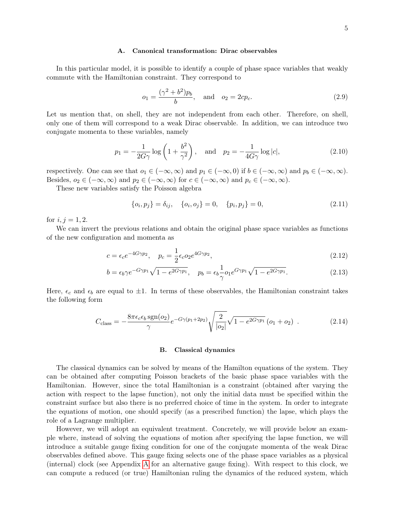#### A. Canonical transformation: Dirac observables

In this particular model, it is possible to identify a couple of phase space variables that weakly commute with the Hamiltonian constraint. They correspond to

<span id="page-5-3"></span>
$$
o_1 = \frac{(\gamma^2 + b^2)p_b}{b}, \text{ and } o_2 = 2cp_c.
$$
 (2.9)

Let us mention that, on shell, they are not independent from each other. Therefore, on shell, only one of them will correspond to a weak Dirac observable. In addition, we can introduce two conjugate momenta to these variables, namely

$$
p_1 = -\frac{1}{2G\gamma} \log \left( 1 + \frac{b^2}{\gamma^2} \right)
$$
, and  $p_2 = -\frac{1}{4G\gamma} \log |c|$ , (2.10)

respectively. One can see that  $o_1 \in (-\infty, \infty)$  and  $p_1 \in (-\infty, 0)$  if  $b \in (-\infty, \infty)$  and  $p_b \in (-\infty, \infty)$ . Besides,  $o_2 \in (-\infty, \infty)$  and  $p_2 \in (-\infty, \infty)$  for  $c \in (-\infty, \infty)$  and  $p_c \in (-\infty, \infty)$ .

These new variables satisfy the Poisson algebra

$$
\{o_i, p_j\} = \delta_{ij}, \quad \{o_i, o_j\} = 0, \quad \{p_i, p_j\} = 0,
$$
\n(2.11)

for  $i, j = 1, 2$ .

We can invert the previous relations and obtain the original phase space variables as functions of the new configuration and momenta as

$$
c = \epsilon_c e^{-4G\gamma p_2}, \quad p_c = \frac{1}{2} \epsilon_c o_2 e^{4G\gamma p_2}, \tag{2.12}
$$

$$
b = \epsilon_b \gamma e^{-G\gamma p_1} \sqrt{1 - e^{2G\gamma p_1}}, \quad p_b = \epsilon_b \frac{1}{\gamma} o_1 e^{G\gamma p_1} \sqrt{1 - e^{2G\gamma p_1}}.
$$
 (2.13)

Here,  $\epsilon_c$  and  $\epsilon_b$  are equal to  $\pm 1$ . In terms of these observables, the Hamiltonian constraint takes the following form

<span id="page-5-2"></span>
$$
C_{\text{class}} = -\frac{8\pi\epsilon_c\epsilon_b \,\text{sgn}(o_2)}{\gamma} e^{-G\gamma(p_1 + 2p_2)} \sqrt{\frac{2}{|o_2|}} \sqrt{1 - e^{2G\gamma p_1}} \left( o_1 + o_2 \right) \,. \tag{2.14}
$$

#### <span id="page-5-4"></span><span id="page-5-1"></span><span id="page-5-0"></span>B. Classical dynamics

The classical dynamics can be solved by means of the Hamilton equations of the system. They can be obtained after computing Poisson brackets of the basic phase space variables with the Hamiltonian. However, since the total Hamiltonian is a constraint (obtained after varying the action with respect to the lapse function), not only the initial data must be specified within the constraint surface but also there is no preferred choice of time in the system. In order to integrate the equations of motion, one should specify (as a prescribed function) the lapse, which plays the role of a Lagrange multiplier.

However, we will adopt an equivalent treatment. Concretely, we will provide below an example where, instead of solving the equations of motion after specifying the lapse function, we will introduce a suitable gauge fixing condition for one of the conjugate momenta of the weak Dirac observables defined above. This gauge fixing selects one of the phase space variables as a physical (internal) clock (see Appendix [A](#page-20-0) for an alternative gauge fixing). With respect to this clock, we can compute a reduced (or true) Hamiltonian ruling the dynamics of the reduced system, which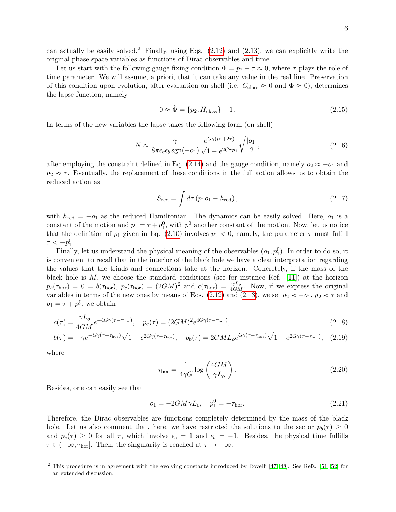can actually be easily solved.<sup>2</sup> Finally, using Eqs.  $(2.12)$  and  $(2.13)$ , we can explicitly write the original phase space variables as functions of Dirac observables and time.

Let us start with the following gauge fixing condition  $\Phi = p_2 - \tau \approx 0$ , where  $\tau$  plays the role of time parameter. We will assume, a priori, that it can take any value in the real line. Preservation of this condition upon evolution, after evaluation on shell (i.e.  $C_{\text{class}} \approx 0$  and  $\Phi \approx 0$ ), determines the lapse function, namely

$$
0 \approx \dot{\Phi} = \{p_2, H_{\text{class}}\} - 1. \tag{2.15}
$$

In terms of the new variables the lapse takes the following form (on shell)

$$
N \approx \frac{\gamma}{8\pi\epsilon_c\epsilon_b \,\text{sgn}(-o_1)} \frac{e^{G\gamma(p_1+2\tau)}}{\sqrt{1-e^{2G\gamma p_1}}} \sqrt{\frac{|o_1|}{2}},\tag{2.16}
$$

after employing the constraint defined in Eq. [\(2.14\)](#page-5-2) and the gauge condition, namely  $o_2 \approx -o_1$  and  $p_2 \approx \tau$ . Eventually, the replacement of these conditions in the full action allows us to obtain the reduced action as

$$
S_{\rm red} = \int d\tau \left( p_1 \dot{o}_1 - h_{\rm red} \right),\tag{2.17}
$$

with  $h_{\text{red}} = -o_1$  as the reduced Hamiltonian. The dynamics can be easily solved. Here,  $o_1$  is a constant of the motion and  $p_1 = \tau + p_1^0$ , with  $p_1^0$  another constant of the motion. Now, let us notice that the definition of  $p_1$  given in Eq. [\(2.10\)](#page-5-3) involves  $p_1 < 0$ , namely, the parameter  $\tau$  must fulfill  $\tau < -p_1^0$ .

Finally, let us understand the physical meaning of the observables  $(o_1, p_1^0)$ . In order to do so, it is convenient to recall that in the interior of the black hole we have a clear interpretation regarding the values that the triads and connections take at the horizon. Concretely, if the mass of the black hole is  $M$ , we choose the standard conditions (see for instance Ref. [\[11\]](#page-22-0)) at the horizon  $p_b(\tau_{\text{hor}}) = 0 = b(\tau_{\text{hor}}), p_c(\tau_{\text{hor}}) = (2GM)^2$  and  $c(\tau_{\text{hor}}) = \frac{\gamma L_o}{4GM}$ . Now, if we express the original variables in terms of the new ones by means of Eqs. [\(2.12\)](#page-5-0) and [\(2.13\)](#page-5-1), we set  $o_2 \approx -o_1$ ,  $p_2 \approx \tau$  and  $p_1 = \tau + p_1^0$ , we obtain

$$
c(\tau) = \frac{\gamma L_o}{4GM} e^{-4G\gamma(\tau - \tau_{\text{hor}})}, \quad p_c(\tau) = (2GM)^2 e^{4G\gamma(\tau - \tau_{\text{hor}})}, \tag{2.18}
$$

$$
b(\tau) = -\gamma e^{-G\gamma(\tau-\tau_{\text{hor}})}\sqrt{1 - e^{2G\gamma(\tau-\tau_{\text{hor}})}}, \quad p_b(\tau) = 2GML_o e^{G\gamma(\tau-\tau_{\text{hor}})}\sqrt{1 - e^{2G\gamma(\tau-\tau_{\text{hor}})}}, \quad (2.19)
$$

where

$$
\tau_{\text{hor}} = \frac{1}{4\gamma G} \log \left( \frac{4GM}{\gamma L_o} \right). \tag{2.20}
$$

Besides, one can easily see that

$$
o_1 = -2GM\gamma L_o, \quad p_1^0 = -\tau_{\text{hor}}.\tag{2.21}
$$

Therefore, the Dirac observables are functions completely determined by the mass of the black hole. Let us also comment that, here, we have restricted the solutions to the sector  $p_b(\tau) \geq 0$ and  $p_c(\tau) \geq 0$  for all  $\tau$ , which involve  $\epsilon_c = 1$  and  $\epsilon_b = -1$ . Besides, the physical time fulfills  $\tau \in (-\infty, \tau_{\text{hor}}]$ . Then, the singularity is reached at  $\tau \to -\infty$ .

<sup>&</sup>lt;sup>2</sup> This procedure is in agreement with the evolving constants introduced by Rovelli [\[47,](#page-23-5) [48\]](#page-23-6). See Refs. [\[51,](#page-23-9) [52\]](#page-23-10) for an extended discussion.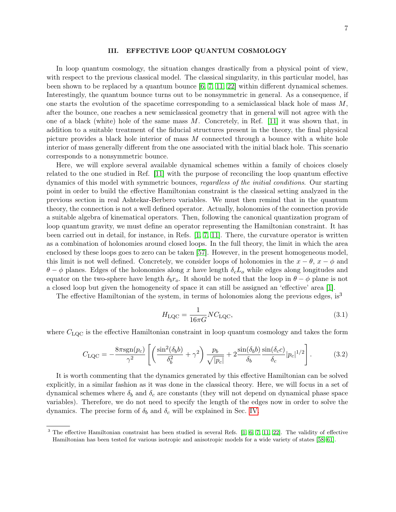# III. EFFECTIVE LOOP QUANTUM COSMOLOGY

In loop quantum cosmology, the situation changes drastically from a physical point of view, with respect to the previous classical model. The classical singularity, in this particular model, has been shown to be replaced by a quantum bounce [\[6,](#page-21-3) [7,](#page-21-2) [11,](#page-22-0) [22\]](#page-22-10) within different dynamical schemes. Interestingly, the quantum bounce turns out to be nonsymmetric in general. As a consequence, if one starts the evolution of the spacetime corresponding to a semiclassical black hole of mass  $M$ , after the bounce, one reaches a new semiclassical geometry that in general will not agree with the one of a black (white) hole of the same mass  $M$ . Concretely, in Ref. [\[11\]](#page-22-0) it was shown that, in addition to a suitable treatment of the fiducial structures present in the theory, the final physical picture provides a black hole interior of mass M connected through a bounce with a white hole interior of mass generally different from the one associated with the initial black hole. This scenario corresponds to a nonsymmetric bounce.

Here, we will explore several available dynamical schemes within a family of choices closely related to the one studied in Ref. [\[11\]](#page-22-0) with the purpose of reconciling the loop quantum effective dynamics of this model with symmetric bounces, regardless of the initial conditions. Our starting point in order to build the effective Hamiltonian constraint is the classical setting analyzed in the previous section in real Ashtekar-Berbero variables. We must then remind that in the quantum theory, the connection is not a well defined operator. Actually, holonomies of the connection provide a suitable algebra of kinematical operators. Then, following the canonical quantization program of loop quantum gravity, we must define an operator representing the Hamiltonian constraint. It has been carried out in detail, for instance, in Refs. [\[1,](#page-21-0) [7,](#page-21-2) [11\]](#page-22-0). There, the curvature operator is written as a combination of holonomies around closed loops. In the full theory, the limit in which the area enclosed by these loops goes to zero can be taken [\[57\]](#page-23-13). However, in the present homogeneous model, this limit is not well defined. Concretely, we consider loops of holonomies in the  $x - \theta$ ,  $x - \phi$  and  $\theta - \phi$  planes. Edges of the holonomies along x have length  $\delta_c L_o$  while edges along longitudes and equator on the two-sphere have length  $\delta_{b}r_o$ . It should be noted that the loop in  $\theta - \phi$  plane is not a closed loop but given the homogeneity of space it can still be assigned an 'effective' area [\[1\]](#page-21-0).

The effective Hamiltonian of the system, in terms of holonomies along the previous edges, is<sup>3</sup>

$$
H_{\text{LQC}} = \frac{1}{16\pi G} N C_{\text{LQC}},\tag{3.1}
$$

where CLQC is the effective Hamiltonian constraint in loop quantum cosmology and takes the form

<span id="page-7-0"></span>
$$
C_{\text{LQC}} = -\frac{8\pi \text{sgn}(p_c)}{\gamma^2} \left[ \left( \frac{\sin^2(\delta_b b)}{\delta_b^2} + \gamma^2 \right) \frac{p_b}{\sqrt{|p_c|}} + 2 \frac{\sin(\delta_b b)}{\delta_b} \frac{\sin(\delta_c c)}{\delta_c} |p_c|^{1/2} \right]. \tag{3.2}
$$

It is worth commenting that the dynamics generated by this effective Hamiltonian can be solved explicitly, in a similar fashion as it was done in the classical theory. Here, we will focus in a set of dynamical schemes where  $\delta_b$  and  $\delta_c$  are constants (they will not depend on dynamical phase space variables). Therefore, we do not need to specify the length of the edges now in order to solve the dynamics. The precise form of  $\delta_b$  and  $\delta_c$  will be explained in Sec. [IV.](#page-9-0)

<sup>&</sup>lt;sup>3</sup> The effective Hamiltonian constraint has been studied in several Refs. [\[1,](#page-21-0) [6,](#page-21-3) [7,](#page-21-2) [11,](#page-22-0) [22\]](#page-22-10). The validity of effective Hamiltonian has been tested for various isotropic and anisotropic models for a wide variety of states [\[58–](#page-23-14)[61\]](#page-23-15).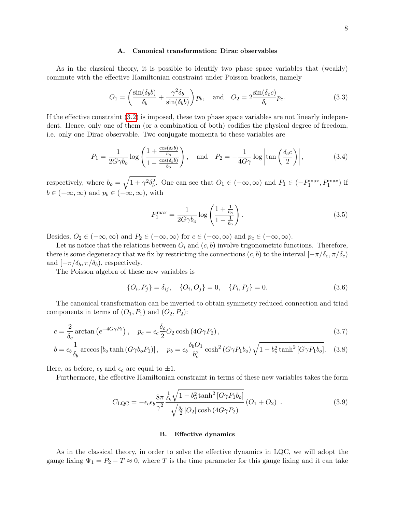#### A. Canonical transformation: Dirac observables

As in the classical theory, it is possible to identify two phase space variables that (weakly) commute with the effective Hamiltonian constraint under Poisson brackets, namely

$$
O_1 = \left(\frac{\sin(\delta_b b)}{\delta_b} + \frac{\gamma^2 \delta_b}{\sin(\delta_b b)}\right) p_b, \text{ and } O_2 = 2 \frac{\sin(\delta_c c)}{\delta_c} p_c.
$$
 (3.3)

If the effective constraint [\(3.2\)](#page-7-0) is imposed, these two phase space variables are not linearly independent. Hence, only one of them (or a combination of both) codifies the physical degree of freedom, i.e. only one Dirac observable. Two conjugate momenta to these variables are

$$
P_1 = \frac{1}{2G\gamma b_o} \log \left( \frac{1 + \frac{\cos(\delta_b b)}{b_o}}{1 - \frac{\cos(\delta_b b)}{b_o}} \right), \text{ and } P_2 = -\frac{1}{4G\gamma} \log \left| \tan \left( \frac{\delta_c c}{2} \right) \right|,
$$
 (3.4)

respectively, where  $b_o = \sqrt{1 + \gamma^2 \delta_b^2}$ . One can see that  $O_1 \in (-\infty, \infty)$  and  $P_1 \in (-P_1^{\max}, P_1^{\max})$  if  $b \in (-\infty, \infty)$  and  $p_b \in (-\infty, \infty)$ , with

$$
P_1^{\max} = \frac{1}{2G\gamma b_o} \log \left( \frac{1 + \frac{1}{b_o}}{1 - \frac{1}{b_o}} \right).
$$
 (3.5)

Besides,  $O_2 \in (-\infty, \infty)$  and  $P_2 \in (-\infty, \infty)$  for  $c \in (-\infty, \infty)$  and  $p_c \in (-\infty, \infty)$ .

Let us notice that the relations between  $O_i$  and  $(c, b)$  involve trigonometric functions. Therefore, there is some degeneracy that we fix by restricting the connections  $(c, b)$  to the interval  $[-\pi/\delta_c, \pi/\delta_c]$ and  $[-\pi/\delta_b, \pi/\delta_b)$ , respectively.

The Poisson algebra of these new variables is

$$
\{O_i, P_j\} = \delta_{ij}, \quad \{O_i, O_j\} = 0, \quad \{P_i, P_j\} = 0.
$$
\n(3.6)

The canonical transformation can be inverted to obtain symmetry reduced connection and triad components in terms of  $(O_1, P_1)$  and  $(O_2, P_2)$ :

$$
c = \frac{2}{\delta_c} \arctan\left(e^{-4G\gamma P_2}\right), \quad p_c = \epsilon_c \frac{\delta_c}{2} O_2 \cosh\left(4G\gamma P_2\right),\tag{3.7}
$$

$$
b = \epsilon_b \frac{1}{\delta_b} \arccos \left[ b_o \tanh \left( G \gamma b_o P_1 \right) \right], \quad p_b = \epsilon_b \frac{\delta_b O_1}{b_o^2} \cosh^2 \left( G \gamma P_1 b_o \right) \sqrt{1 - b_o^2 \tanh^2 \left[ G \gamma P_1 b_o \right]}.
$$
 (3.8)

Here, as before,  $\epsilon_b$  and  $\epsilon_c$  are equal to  $\pm 1$ .

Furthermore, the effective Hamiltonian constraint in terms of these new variables takes the form

$$
C_{\text{LQC}} = -\epsilon_c \epsilon_b \frac{8\pi}{\gamma^2} \frac{\frac{1}{\delta_b} \sqrt{1 - b_o^2 \tanh^2 \left[ G \gamma P_1 b_o \right]}}{\sqrt{\frac{\delta_c}{2} |O_2| \cosh \left( 4G \gamma P_2 \right)}} \left( O_1 + O_2 \right) \tag{3.9}
$$

#### <span id="page-8-1"></span><span id="page-8-0"></span>B. Effective dynamics

As in the classical theory, in order to solve the effective dynamics in LQC, we will adopt the gauge fixing  $\Psi_1 = P_2 - T \approx 0$ , where T is the time parameter for this gauge fixing and it can take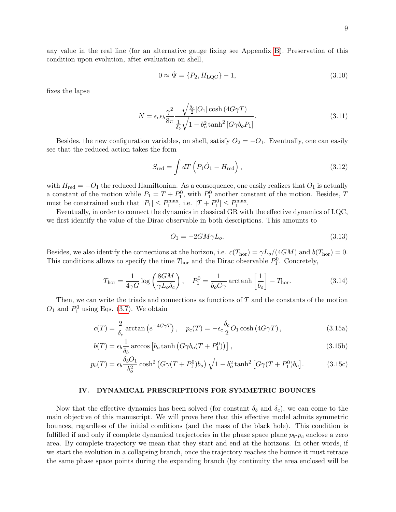$$
0 \approx \dot{\Psi} = \{P_2, H_{\text{LQC}}\} - 1,\tag{3.10}
$$

fixes the lapse

$$
N = \epsilon_c \epsilon_b \frac{\gamma^2}{8\pi} \frac{\sqrt{\frac{\delta_c}{2} |O_1| \cosh(4G\gamma T)}}{\frac{1}{\delta_b} \sqrt{1 - b_o^2 \tanh^2 \left[G \gamma b_o P_1\right]}}.\tag{3.11}
$$

Besides, the new configuration variables, on shell, satisfy  $O_2 = -O_1$ . Eventually, one can easily see that the reduced action takes the form

$$
S_{\rm red} = \int dT \left( P_1 \dot{O}_1 - H_{\rm red} \right), \qquad (3.12)
$$

with  $H_{\text{red}} = -O_1$  the reduced Hamiltonian. As a consequence, one easily realizes that  $O_1$  is actually a constant of the motion while  $P_1 = T + P_1^0$ , with  $P_1^0$  another constant of the motion. Besides, T must be constrained such that  $|P_1| \le P_1^{\max}$ , i.e.  $|T + P_1^0| \le P_1^{\max}$ .

Eventually, in order to connect the dynamics in classical GR with the effective dynamics of LQC, we first identify the value of the Dirac observable in both descriptions. This amounts to

<span id="page-9-1"></span>
$$
O_1 = -2GM\gamma L_o. \tag{3.13}
$$

Besides, we also identify the connections at the horizon, i.e.  $c(T_{\text{hor}}) = \gamma L_o/(4GM)$  and  $b(T_{\text{hor}}) = 0$ . This conditions allows to specify the time  $T_{\text{hor}}$  and the Dirac observable  $P_1^0$ . Concretely,

$$
T_{\text{hor}} = \frac{1}{4\gamma G} \log \left( \frac{8GM}{\gamma L_o \delta_c} \right), \quad P_1^0 = \frac{1}{b_o G \gamma} \operatorname{arctanh} \left[ \frac{1}{b_o} \right] - T_{\text{hor}}.
$$
 (3.14)

Then, we can write the triads and connections as functions of  $T$  and the constants of the motion  $O_1$  and  $P_1^0$  using Eqs. [\(3.7\)](#page-8-0). We obtain

$$
c(T) = \frac{2}{\delta_c} \arctan\left(e^{-4G\gamma T}\right), \quad p_c(T) = -\epsilon_c \frac{\delta_c}{2} O_1 \cosh\left(4G\gamma T\right),\tag{3.15a}
$$

$$
b(T) = \epsilon_b \frac{1}{\delta_b} \arccos \left[ b_o \tanh \left( G \gamma b_o (T + P_1^0) \right) \right],\tag{3.15b}
$$

$$
p_b(T) = \epsilon_b \frac{\delta_b O_1}{b_o^2} \cosh^2 \left( G\gamma (T + P_1^0) b_o \right) \sqrt{1 - b_o^2 \tanh^2 \left[ G\gamma (T + P_1^0) b_o \right]}.
$$
 (3.15c)

#### <span id="page-9-0"></span>IV. DYNAMICAL PRESCRIPTIONS FOR SYMMETRIC BOUNCES

Now that the effective dynamics has been solved (for constant  $\delta_b$  and  $\delta_c$ ), we can come to the main objective of this manuscript. We will prove here that this effective model admits symmetric bounces, regardless of the initial conditions (and the mass of the black hole). This condition is fulfilled if and only if complete dynamical trajectories in the phase space plane  $p_b$ - $p_c$  enclose a zero area. By complete trajectory we mean that they start and end at the horizons. In other words, if we start the evolution in a collapsing branch, once the trajectory reaches the bounce it must retrace the same phase space points during the expanding branch (by continuity the area enclosed will be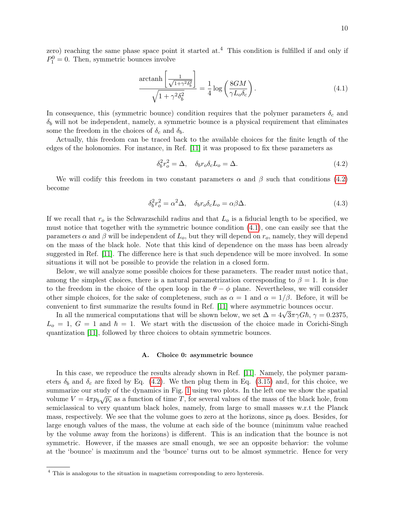zero) reaching the same phase space point it started at.<sup>4</sup> This condition is fulfilled if and only if  $P_1^0 = 0$ . Then, symmetric bounces involve

<span id="page-10-1"></span>
$$
\frac{\operatorname{arctanh}\left[\frac{1}{\sqrt{1+\gamma^2\delta_b^2}}\right]}{\sqrt{1+\gamma^2\delta_b^2}} = \frac{1}{4}\log\left(\frac{8GM}{\gamma L_o\delta_c}\right). \tag{4.1}
$$

In consequence, this (symmetric bounce) condition requires that the polymer parameters  $\delta_c$  and  $\delta_b$  will not be independent, namely, a symmetric bounce is a physical requirement that eliminates some the freedom in the choices of  $\delta_c$  and  $\delta_b$ .

Actually, this freedom can be traced back to the available choices for the finite length of the edges of the holonomies. For instance, in Ref. [\[11\]](#page-22-0) it was proposed to fix these parameters as

<span id="page-10-0"></span>
$$
\delta_b^2 r_o^2 = \Delta, \quad \delta_b r_o \delta_c L_o = \Delta. \tag{4.2}
$$

We will codify this freedom in two constant parameters  $\alpha$  and  $\beta$  such that conditions [\(4.2\)](#page-10-0) become

<span id="page-10-2"></span>
$$
\delta_b^2 r_o^2 = \alpha^2 \Delta, \quad \delta_b r_o \delta_c L_o = \alpha \beta \Delta. \tag{4.3}
$$

If we recall that  $r_o$  is the Schwarzschild radius and that  $L_o$  is a fiducial length to be specified, we must notice that together with the symmetric bounce condition [\(4.1\)](#page-10-1), one can easily see that the parameters  $\alpha$  and  $\beta$  will be independent of  $L_0$ , but they will depend on  $r_o$ , namely, they will depend on the mass of the black hole. Note that this kind of dependence on the mass has been already suggested in Ref. [\[11\]](#page-22-0). The difference here is that such dependence will be more involved. In some situations it will not be possible to provide the relation in a closed form.

Below, we will analyze some possible choices for these parameters. The reader must notice that, among the simplest choices, there is a natural parametrization corresponding to  $\beta = 1$ . It is due to the freedom in the choice of the open loop in the  $\theta - \phi$  plane. Nevertheless, we will consider other simple choices, for the sake of completeness, such as  $\alpha = 1$  and  $\alpha = 1/\beta$ . Before, it will be convenient to first summarize the results found in Ref. [\[11\]](#page-22-0) where asymmetric bounces occur.

In all the numerical computations that will be shown below, we set  $\Delta = 4\sqrt{3}\pi\gamma G\hbar$ ,  $\gamma = 0.2375$ ,  $L_o = 1, G = 1$  and  $\hbar = 1$ . We start with the discussion of the choice made in Corichi-Singh quantization [\[11\]](#page-22-0), followed by three choices to obtain symmetric bounces.

#### A. Choice 0: asymmetric bounce

In this case, we reproduce the results already shown in Ref. [\[11\]](#page-22-0). Namely, the polymer parameters  $\delta_b$  and  $\delta_c$  are fixed by Eq. [\(4.2\)](#page-10-0). We then plug them in Eq. [\(3.15\)](#page-9-1) and, for this choice, we summarize our study of the dynamics in Fig. [1](#page-11-0) using two plots. In the left one we show the spatial volume  $V = 4\pi p_b \sqrt{p_c}$  as a function of time T, for several values of the mass of the black hole, from semiclassical to very quantum black holes, namely, from large to small masses w.r.t the Planck mass, respectively. We see that the volume goes to zero at the horizons, since  $p<sub>b</sub>$  does. Besides, for large enough values of the mass, the volume at each side of the bounce (minimum value reached by the volume away from the horizons) is different. This is an indication that the bounce is not symmetric. However, if the masses are small enough, we see an opposite behavior: the volume at the 'bounce' is maximum and the 'bounce' turns out to be almost symmetric. Hence for very

<sup>&</sup>lt;sup>4</sup> This is analogous to the situation in magnetism corresponding to zero hysteresis.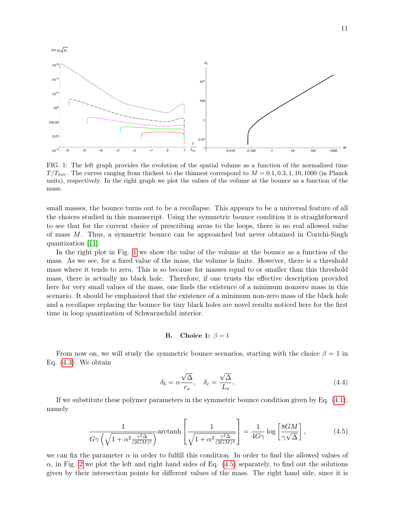

<span id="page-11-0"></span>FIG. 1: The left graph provides the evolution of the spatial volume as a function of the normalized time  $T/T_{hor}$ . The curves ranging from thickest to the thinnest correspond to  $M = 0.1, 0.3, 1, 10, 1000$  (in Planck units), respectively. In the right graph we plot the values of the volume at the bounce as a function of the mass.

small masses, the bounce turns out to be a recollapse. This appears to be a universal feature of all the choices studied in this manuscript. Using the symmetric bounce condition it is straightforward to see that for the current choice of prescribing areas to the loops, there is no real allowed value of mass M. Thus, a symmetric bounce can be approached but never obtained in Corichi-Singh quantization [\[11\]](#page-22-0).

In the right plot in Fig. [1](#page-11-0) we show the value of the volume at the bounce as a function of the mass. As we see, for a fixed value of the mass, the volume is finite. However, there is a threshold mass where it tends to zero. This is so because for masses equal to or smaller than this threshold mass, there is actually no black hole. Therefore, if one trusts the effective description provided here for very small values of the mass, one finds the existence of a minimum nonzero mass in this scenario. It should be emphasized that the existence of a minimum non-zero mass of the black hole and a recollapse replacing the bounce for tiny black holes are novel results noticed here for the first time in loop quantization of Schwarzschild interior.

#### B. Choice 1:  $\beta = 1$

From now on, we will study the symmetric bounce scenarios, starting with the choice  $\beta = 1$  in Eq. [\(4.3\)](#page-10-2). We obtain

$$
\delta_b = \alpha \frac{\sqrt{\Delta}}{r_o}, \quad \delta_c = \frac{\sqrt{\Delta}}{L_o}.
$$
\n(4.4)

If we substitute these polymer parameters in the symmetric bounce condition given by Eq. [\(4.1\)](#page-10-1), namely

<span id="page-11-1"></span>
$$
\frac{1}{G\gamma\left(\sqrt{1+\alpha^2\frac{\gamma^2\Delta}{(2GM)^2}}\right)}\arctanh\left[\frac{1}{\sqrt{1+\alpha^2\frac{\gamma^2\Delta}{(2GM)^2}}}\right] = \frac{1}{4G\gamma}\log\left[\frac{8GM}{\gamma\sqrt{\Delta}}\right],\tag{4.5}
$$

we can fix the parameter  $\alpha$  in order to fulfill this condition. In order to find the allowed values of  $\alpha$ , in Fig. [2](#page-12-0) we plot the left and right hand sides of Eq. [\(4.5\)](#page-11-1) separately, to find out the solutions given by their intersection points for different values of the mass. The right hand side, since it is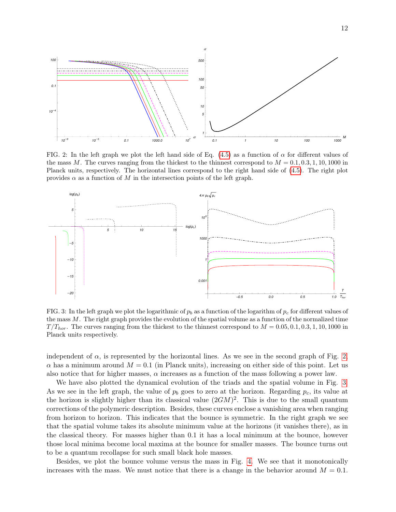

<span id="page-12-0"></span>FIG. 2: In the left graph we plot the left hand side of Eq.  $(4.5)$  as a function of  $\alpha$  for different values of the mass M. The curves ranging from the thickest to the thinnest correspond to  $M = 0.1, 0.3, 1, 10, 1000$  in Planck units, respectively. The horizontal lines correspond to the right hand side of [\(4.5\)](#page-11-1). The right plot provides  $\alpha$  as a function of M in the intersection points of the left graph.



<span id="page-12-1"></span>FIG. 3: In the left graph we plot the logarithmic of  $p_b$  as a function of the logarithm of  $p_c$  for different values of the mass  $M$ . The right graph provides the evolution of the spatial volume as a function of the normalized time  $T/T_{hor}$ . The curves ranging from the thickest to the thinnest correspond to  $M = 0.05, 0.1, 0.3, 1, 10, 1000$  in Planck units respectively.

independent of  $\alpha$ , is represented by the horizontal lines. As we see in the second graph of Fig. [2,](#page-12-0)  $\alpha$  has a minimum around  $M = 0.1$  (in Planck units), increasing on either side of this point. Let us also notice that for higher masses,  $\alpha$  increases as a function of the mass following a power law.

We have also plotted the dynamical evolution of the triads and the spatial volume in Fig. [3.](#page-12-1) As we see in the left graph, the value of  $p_b$  goes to zero at the horizon. Regarding  $p_c$ , its value at the horizon is slightly higher than its classical value  $(2GM)^2$ . This is due to the small quantum corrections of the polymeric description. Besides, these curves enclose a vanishing area when ranging from horizon to horizon. This indicates that the bounce is symmetric. In the right graph we see that the spatial volume takes its absolute minimum value at the horizons (it vanishes there), as in the classical theory. For masses higher than 0.1 it has a local minimum at the bounce, however those local minima become local maxima at the bounce for smaller masses. The bounce turns out to be a quantum recollapse for such small black hole masses.

Besides, we plot the bounce volume versus the mass in Fig. [4.](#page-13-0) We see that it monotonically increases with the mass. We must notice that there is a change in the behavior around  $M = 0.1$ .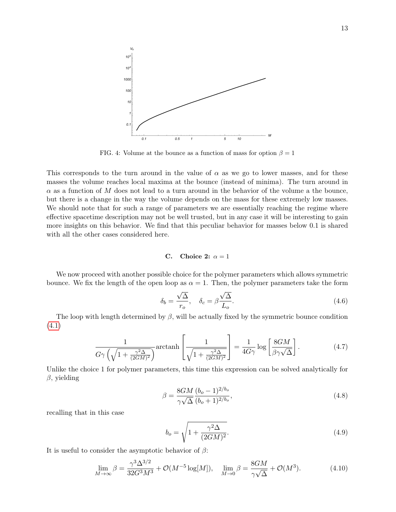

<span id="page-13-0"></span>FIG. 4: Volume at the bounce as a function of mass for option  $\beta = 1$ 

This corresponds to the turn around in the value of  $\alpha$  as we go to lower masses, and for these masses the volume reaches local maxima at the bounce (instead of minima). The turn around in  $\alpha$  as a function of M does not lead to a turn around in the behavior of the volume a the bounce, but there is a change in the way the volume depends on the mass for these extremely low masses. We should note that for such a range of parameters we are essentially reaching the regime where effective spacetime description may not be well trusted, but in any case it will be interesting to gain more insights on this behavior. We find that this peculiar behavior for masses below 0.1 is shared with all the other cases considered here.

## C. Choice 2:  $\alpha = 1$

We now proceed with another possible choice for the polymer parameters which allows symmetric bounce. We fix the length of the open loop as  $\alpha = 1$ . Then, the polymer parameters take the form

<span id="page-13-1"></span>
$$
\delta_b = \frac{\sqrt{\Delta}}{r_o}, \quad \delta_c = \beta \frac{\sqrt{\Delta}}{L_o}.
$$
\n(4.6)

The loop with length determined by  $\beta$ , will be actually fixed by the symmetric bounce condition [\(4.1\)](#page-10-1)

$$
\frac{1}{G\gamma \left(\sqrt{1 + \frac{\gamma^2 \Delta}{(2GM)^2}}\right)} \operatorname{arctanh}\left[\frac{1}{\sqrt{1 + \frac{\gamma^2 \Delta}{(2GM)^2}}}\right] = \frac{1}{4G\gamma} \log \left[\frac{8GM}{\beta \gamma \sqrt{\Delta}}\right].
$$
 (4.7)

Unlike the choice 1 for polymer parameters, this time this expression can be solved analytically for β, yielding

<span id="page-13-2"></span>
$$
\beta = \frac{8GM}{\gamma\sqrt{\Delta}} \frac{(b_o - 1)^{2/b_o}}{(b_o + 1)^{2/b_o}},\tag{4.8}
$$

recalling that in this case

<span id="page-13-3"></span>
$$
b_o = \sqrt{1 + \frac{\gamma^2 \Delta}{(2GM)^2}}.\tag{4.9}
$$

It is useful to consider the asymptotic behavior of  $\beta$ :

<span id="page-13-4"></span>
$$
\lim_{M \to \infty} \beta = \frac{\gamma^3 \Delta^{3/2}}{32G^3 M^3} + \mathcal{O}(M^{-5} \log[M]), \quad \lim_{M \to 0} \beta = \frac{8GM}{\gamma \sqrt{\Delta}} + \mathcal{O}(M^3). \tag{4.10}
$$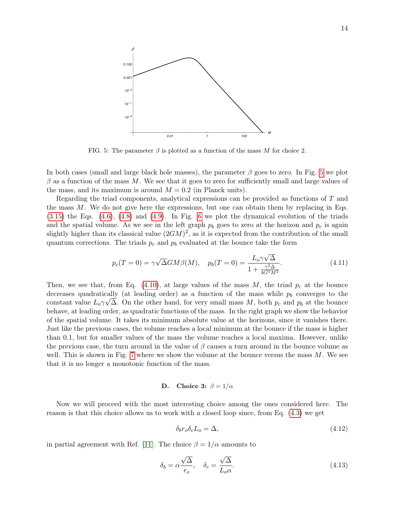

<span id="page-14-0"></span>FIG. 5: The parameter  $\beta$  is plotted as a function of the mass M for choice 2.

In both cases (small and large black hole masses), the parameter  $\beta$  goes to zero. In Fig. [5](#page-14-0) we plot  $\beta$  as a function of the mass M. We see that it goes to zero for sufficiently small and large values of the mass, and its maximum is around  $M = 0.2$  (in Planck units).

Regarding the triad components, analytical expressions can be provided as functions of T and the mass M. We do not give here the expressions, but one can obtain them by replacing in Eqs.  $(3.15)$  the Eqs.  $(4.6)$ ,  $(4.8)$  and  $(4.9)$ . In Fig. [6](#page-15-0) we plot the dynamical evolution of the triads and the spatial volume. As we see in the left graph  $p_b$  goes to zero at the horizon and  $p_c$  is again slightly higher than its classical value  $(2GM)^2$ , as it is expected from the contribution of the small quantum corrections. The triads  $p_c$  and  $p_b$  evaluated at the bounce take the form

$$
p_c(T=0) = \gamma \sqrt{\Delta}GM\beta(M), \quad p_b(T=0) = \frac{L_o\gamma\sqrt{\Delta}}{1 + \frac{\gamma^2\Delta}{4G^2M^2}}.
$$
\n(4.11)

Then, we see that, from Eq. [\(4.10\)](#page-13-4), at large values of the mass M, the triad  $p_c$  at the bounce decreases quadratically (at leading order) as a function of the mass while  $p_b$  converges to the constant value  $L_o \gamma \sqrt{\Delta}$ . On the other hand, for very small mass M, both  $p_c$  and  $p_b$  at the bounce behave, at leading order, as quadratic functions of the mass. In the right graph we show the behavior of the spatial volume. It takes its minimum absolute value at the horizons, since it vanishes there. Just like the previous cases, the volume reaches a local minimum at the bounce if the mass is higher than 0.1, but for smaller values of the mass the volume reaches a local maxima. However, unlike the previous case, the turn around in the value of  $\beta$  causes a turn around in the bounce volume as well. This is shown in Fig. [7](#page-15-1) where we show the volume at the bounce versus the mass  $M$ . We see that it is no longer a monotonic function of the mass.

#### D. Choice 3:  $\beta = 1/\alpha$

Now we will proceed with the most interesting choice among the ones considered here. The reason is that this choice allows us to work with a closed loop since, from Eq. [\(4.3\)](#page-10-2) we get

$$
\delta_b r_o \delta_c L_o = \Delta, \tag{4.12}
$$

in partial agreement with Ref. [\[11\]](#page-22-0). The choice  $\beta = 1/\alpha$  amounts to

$$
\delta_b = \alpha \frac{\sqrt{\Delta}}{r_o}, \quad \delta_c = \frac{\sqrt{\Delta}}{L_o \alpha}.
$$
\n(4.13)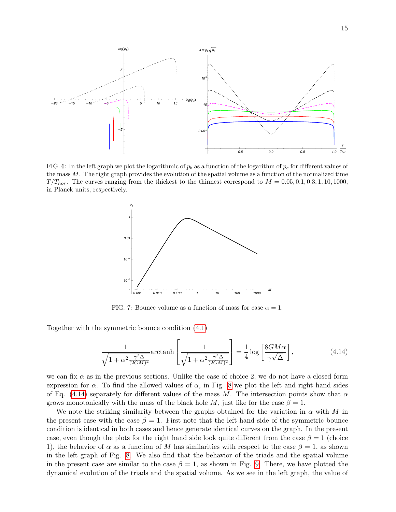

<span id="page-15-0"></span>FIG. 6: In the left graph we plot the logarithmic of  $p_b$  as a function of the logarithm of  $p_c$  for different values of the mass  $M$ . The right graph provides the evolution of the spatial volume as a function of the normalized time  $T/T_{hor}$ . The curves ranging from the thickest to the thinnest correspond to  $M = 0.05, 0.1, 0.3, 1, 10, 1000$ , in Planck units, respectively.



<span id="page-15-1"></span>FIG. 7: Bounce volume as a function of mass for case  $\alpha = 1$ .

Together with the symmetric bounce condition [\(4.1\)](#page-10-1)

<span id="page-15-2"></span>
$$
\frac{1}{\sqrt{1+\alpha^2 \frac{\gamma^2 \Delta}{(2GM)^2}}} \arctanh\left[\frac{1}{\sqrt{1+\alpha^2 \frac{\gamma^2 \Delta}{(2GM)^2}}}\right] = \frac{1}{4} \log\left[\frac{8GM\alpha}{\gamma\sqrt{\Delta}}\right],\tag{4.14}
$$

we can fix  $\alpha$  as in the previous sections. Unlike the case of choice 2, we do not have a closed form expression for  $\alpha$ . To find the allowed values of  $\alpha$ , in Fig. [8](#page-16-0) we plot the left and right hand sides of Eq. [\(4.14\)](#page-15-2) separately for different values of the mass M. The intersection points show that  $\alpha$ grows monotonically with the mass of the black hole M, just like for the case  $\beta = 1$ .

We note the striking similarity between the graphs obtained for the variation in  $\alpha$  with M in the present case with the case  $\beta = 1$ . First note that the left hand side of the symmetric bounce condition is identical in both cases and hence generate identical curves on the graph. In the present case, even though the plots for the right hand side look quite different from the case  $\beta = 1$  (choice 1), the behavior of  $\alpha$  as a function of M has similarities with respect to the case  $\beta = 1$ , as shown in the left graph of Fig. [8.](#page-16-0) We also find that the behavior of the triads and the spatial volume in the present case are similar to the case  $\beta = 1$ , as shown in Fig. [9.](#page-16-1) There, we have plotted the dynamical evolution of the triads and the spatial volume. As we see in the left graph, the value of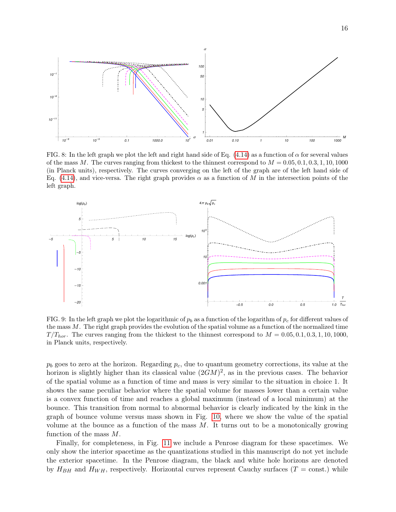

<span id="page-16-0"></span>FIG. 8: In the left graph we plot the left and right hand side of Eq. [\(4.14\)](#page-15-2) as a function of  $\alpha$  for several values of the mass M. The curves ranging from thickest to the thinnest correspond to  $M = 0.05, 0.1, 0.3, 1, 10, 1000$ (in Planck units), respectively. The curves converging on the left of the graph are of the left hand side of Eq. [\(4.14\)](#page-15-2), and vice-versa. The right graph provides  $\alpha$  as a function of M in the intersection points of the left graph.



<span id="page-16-1"></span>FIG. 9: In the left graph we plot the logarithmic of  $p_b$  as a function of the logarithm of  $p_c$  for different values of the mass  $M$ . The right graph provides the evolution of the spatial volume as a function of the normalized time  $T/T_{hor}$ . The curves ranging from the thickest to the thinnest correspond to  $M = 0.05, 0.1, 0.3, 1, 10, 1000$ , in Planck units, respectively.

 $p_b$  goes to zero at the horizon. Regarding  $p_c$ , due to quantum geometry corrections, its value at the horizon is slightly higher than its classical value  $(2GM)^2$ , as in the previous cases. The behavior of the spatial volume as a function of time and mass is very similar to the situation in choice 1. It shows the same peculiar behavior where the spatial volume for masses lower than a certain value is a convex function of time and reaches a global maximum (instead of a local minimum) at the bounce. This transition from normal to abnormal behavior is clearly indicated by the kink in the graph of bounce volume versus mass shown in Fig. [10,](#page-17-0) where we show the value of the spatial volume at the bounce as a function of the mass  $M$ . It turns out to be a monotonically growing function of the mass M.

Finally, for completeness, in Fig. [11](#page-17-1) we include a Penrose diagram for these spacetimes. We only show the interior spacetime as the quantizations studied in this manuscript do not yet include the exterior spacetime. In the Penrose diagram, the black and white hole horizons are denoted by  $H_{BH}$  and  $H_{WH}$ , respectively. Horizontal curves represent Cauchy surfaces (T = const.) while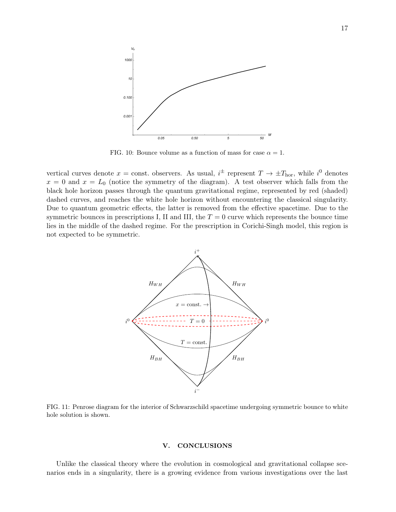

<span id="page-17-0"></span>FIG. 10: Bounce volume as a function of mass for case  $\alpha = 1$ .

vertical curves denote  $x = \text{const.}$  observers. As usual,  $i^{\pm}$  represent  $T \to \pm T_{\text{hor}}$ , while  $i^0$  denotes  $x = 0$  and  $x = L_0$  (notice the symmetry of the diagram). A test observer which falls from the black hole horizon passes through the quantum gravitational regime, represented by red (shaded) dashed curves, and reaches the white hole horizon without encountering the classical singularity. Due to quantum geometric effects, the latter is removed from the effective spacetime. Due to the symmetric bounces in prescriptions I, II and III, the  $T = 0$  curve which represents the bounce time lies in the middle of the dashed regime. For the prescription in Corichi-Singh model, this region is not expected to be symmetric.



<span id="page-17-1"></span>FIG. 11: Penrose diagram for the interior of Schwarzschild spacetime undergoing symmetric bounce to white hole solution is shown.

#### V. CONCLUSIONS

Unlike the classical theory where the evolution in cosmological and gravitational collapse scenarios ends in a singularity, there is a growing evidence from various investigations over the last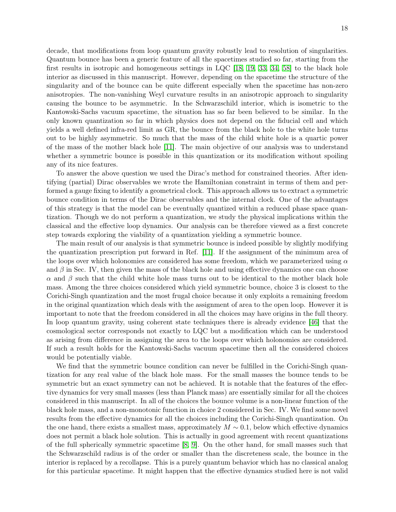decade, that modifications from loop quantum gravity robustly lead to resolution of singularities. Quantum bounce has been a generic feature of all the spacetimes studied so far, starting from the first results in isotropic and homogeneous settings in LQC [\[18,](#page-22-6) [19,](#page-22-7) [33,](#page-22-17) [34,](#page-22-18) [58\]](#page-23-14) to the black hole interior as discussed in this manuscript. However, depending on the spacetime the structure of the singularity and of the bounce can be quite different especially when the spacetime has non-zero anisotropies. The non-vanishing Weyl curvature results in an anisotropic approach to singularity causing the bounce to be asymmetric. In the Schwarzschild interior, which is isometric to the Kantowski-Sachs vacuum spacetime, the situation has so far been believed to be similar. In the only known quantization so far in which physics does not depend on the fiducial cell and which yields a well defined infra-red limit as GR, the bounce from the black hole to the white hole turns out to be highly asymmetric. So much that the mass of the child white hole is a quartic power of the mass of the mother black hole [\[11\]](#page-22-0). The main objective of our analysis was to understand whether a symmetric bounce is possible in this quantization or its modification without spoiling any of its nice features.

To answer the above question we used the Dirac's method for constrained theories. After identifying (partial) Dirac observables we wrote the Hamiltonian constraint in terms of them and performed a gauge fixing to identify a geometrical clock. This approach allows us to extract a symmetric bounce condition in terms of the Dirac observables and the internal clock. One of the advantages of this strategy is that the model can be eventually quantized within a reduced phase space quantization. Though we do not perform a quantization, we study the physical implications within the classical and the effective loop dynamics. Our analysis can be therefore viewed as a first concrete step towards exploring the viability of a quantization yielding a symmetric bounce.

The main result of our analysis is that symmetric bounce is indeed possible by slightly modifying the quantization prescription put forward in Ref. [\[11\]](#page-22-0). If the assignment of the minimum area of the loops over which holonomies are considered has some freedom, which we parameterized using  $\alpha$ and  $\beta$  in Sec. IV, then given the mass of the black hole and using effective dynamics one can choose  $\alpha$  and β such that the child white hole mass turns out to be identical to the mother black hole mass. Among the three choices considered which yield symmetric bounce, choice 3 is closest to the Corichi-Singh quantization and the most frugal choice because it only exploits a remaining freedom in the original quantization which deals with the assignment of area to the open loop. However it is important to note that the freedom considered in all the choices may have origins in the full theory. In loop quantum gravity, using coherent state techniques there is already evidence [\[46\]](#page-23-4) that the cosmological sector corresponds not exactly to LQC but a modification which can be understood as arising from difference in assigning the area to the loops over which holonomies are considered. If such a result holds for the Kantowski-Sachs vacuum spacetime then all the considered choices would be potentially viable.

We find that the symmetric bounce condition can never be fulfilled in the Corichi-Singh quantization for any real value of the black hole mass. For the small masses the bounce tends to be symmetric but an exact symmetry can not be achieved. It is notable that the features of the effective dynamics for very small masses (less than Planck mass) are essentially similar for all the choices considered in this manuscript. In all of the choices the bounce volume is a non-linear function of the black hole mass, and a non-monotonic function in choice 2 considered in Sec. IV. We find some novel results from the effective dynamics for all the choices including the Corichi-Singh quantization. On the one hand, there exists a smallest mass, approximately  $M \sim 0.1$ , below which effective dynamics does not permit a black hole solution. This is actually in good agreement with recent quantizations of the full spherically symmetric spacetime [\[8,](#page-21-4) [9\]](#page-21-5). On the other hand, for small masses such that the Schwarzschild radius is of the order or smaller than the discreteness scale, the bounce in the interior is replaced by a recollapse. This is a purely quantum behavior which has no classical analog for this particular spacetime. It might happen that the effective dynamics studied here is not valid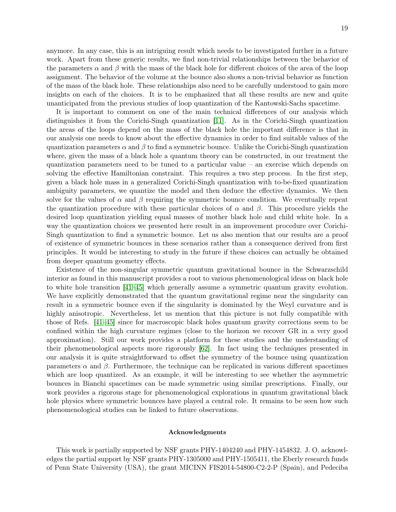anymore. In any case, this is an intriguing result which needs to be investigated further in a future work. Apart from these generic results, we find non-trivial relationships between the behavior of the parameters  $\alpha$  and  $\beta$  with the mass of the black hole for different choices of the area of the loop assignment. The behavior of the volume at the bounce also shows a non-trivial behavior as function of the mass of the black hole. These relationships also need to be carefully understood to gain more insights on each of the choices. It is to be emphasized that all these results are new and quite unanticipated from the previous studies of loop quantization of the Kantowski-Sachs spacetime.

It is important to comment on one of the main technical differences of our analysis which distinguishes it from the Corichi-Singh quantization [\[11\]](#page-22-0). As in the Corichi-Singh quantization the areas of the loops depend on the mass of the black hole the important difference is that in our analysis one needs to know about the effective dynamics in order to find suitable values of the quantization parameters  $\alpha$  and  $\beta$  to find a symmetric bounce. Unlike the Corichi-Singh quantization where, given the mass of a black hole a quantum theory can be constructed, in our treatment the quantization parameters need to be tuned to a particular value – an exercise which depends on solving the effective Hamiltonian constraint. This requires a two step process. In the first step, given a black hole mass in a generalized Corichi-Singh quantization with to-be-fixed quantization ambiguity parameters, we quantize the model and then deduce the effective dynamics. We then solve for the values of  $\alpha$  and  $\beta$  requiring the symmetric bounce condition. We eventually repeat the quantization procedure with these particular choices of  $\alpha$  and  $\beta$ . This procedure yields the desired loop quantization yielding equal masses of mother black hole and child white hole. In a way the quantization choices we presented here result in an improvement procedure over Corichi-Singh quantization to find a symmetric bounce. Let us also mention that our results are a proof of existence of symmetric bounces in these scenarios rather than a consequence derived from first principles. It would be interesting to study in the future if these choices can actually be obtained from deeper quantum geometry effects.

Existence of the non-singular symmetric quantum gravitational bounce in the Schwarzschild interior as found in this manuscript provides a root to various phenomenological ideas on black hole to white hole transition [\[41](#page-23-2)[–45\]](#page-23-3) which generally assume a symmetric quantum gravity evolution. We have explicitly demonstrated that the quantum gravitational regime near the singularity can result in a symmetric bounce even if the singularity is dominated by the Weyl curvature and is highly anisotropic. Nevertheless, let us mention that this picture is not fully compatible with those of Refs. [\[41–](#page-23-2)[45\]](#page-23-3) since for macroscopic black holes quantum gravity corrections seem to be confined within the high curvature regimes (close to the horizon we recover GR in a very good approximation). Still our work provides a platform for these studies and the understanding of their phenomenological aspects more rigorously [\[62\]](#page-23-16). In fact using the techniques presented in our analysis it is quite straightforward to offset the symmetry of the bounce using quantization parameters  $\alpha$  and  $\beta$ . Furthermore, the technique can be replicated in various different spacetimes which are loop quantized. As an example, it will be interesting to see whether the asymmetric bounces in Bianchi spacetimes can be made symmetric using similar prescriptions. Finally, our work provides a rigorous stage for phenomenological explorations in quantum gravitational black hole physics where symmetric bounces have played a central role. It remains to be seen how such phenomenological studies can be linked to future observations.

#### Acknowledgments

This work is partially supported by NSF grants PHY-1404240 and PHY-1454832. J. O. acknowledges the partial support by NSF grants PHY-1305000 and PHY-1505411, the Eberly research funds of Penn State University (USA), the grant MICINN FIS2014-54800-C2-2-P (Spain), and Pedeciba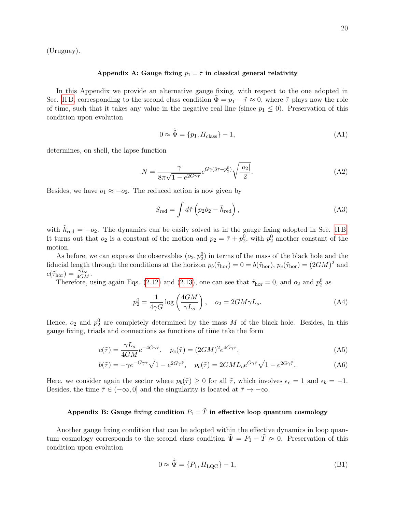#### <span id="page-20-0"></span>Appendix A: Gauge fixing  $p_1 = \tilde{\tau}$  in classical general relativity

In this Appendix we provide an alternative gauge fixing, with respect to the one adopted in Sec. [II B,](#page-5-4) corresponding to the second class condition  $\tilde{\Phi} = p_1 - \tilde{\tau} \approx 0$ , where  $\tilde{\tau}$  plays now the role of time, such that it takes any value in the negative real line (since  $p_1 \leq 0$ ). Preservation of this condition upon evolution

$$
0 \approx \dot{\tilde{\Phi}} = \{p_1, H_{\text{class}}\} - 1,\tag{A1}
$$

determines, on shell, the lapse function

$$
N = \frac{\gamma}{8\pi\sqrt{1 - e^{2G\gamma\tau}}} e^{G\gamma(3\tau + p_2^0)} \sqrt{\frac{|o_2|}{2}}.
$$
\n(A2)

Besides, we have  $o_1 \approx -o_2$ . The reduced action is now given by

$$
S_{\rm red} = \int d\tilde{\tau} \left( p_2 \dot{o}_2 - \tilde{h}_{\rm red} \right), \tag{A3}
$$

with  $\tilde{h}_{\text{red}} = -o_2$ . The dynamics can be easily solved as in the gauge fixing adopted in Sec. IIB. It turns out that  $o_2$  is a constant of the motion and  $p_2 = \tilde{\tau} + p_2^0$ , with  $p_2^0$  another constant of the motion.

As before, we can express the observables  $(o_2, p_2^0)$  in terms of the mass of the black hole and the fiducial length through the conditions at the horizon  $p_b(\tilde{\tau}_{hor}) = 0 = b(\tilde{\tau}_{hor}), p_c(\tilde{\tau}_{hor}) = (2GM)^2$  and  $c(\tilde{\tau}_{\rm hor}) = \frac{\gamma L_o}{4GM}.$ 

Therefore, using again Eqs. [\(2.12\)](#page-5-0) and [\(2.13\)](#page-5-1), one can see that  $\tilde{\tau}_{\text{hor}} = 0$ , and  $o_2$  and  $p_2^0$  as

$$
p_2^0 = \frac{1}{4\gamma G} \log \left( \frac{4GM}{\gamma L_o} \right), \quad o_2 = 2GM\gamma L_o.
$$
 (A4)

Hence,  $o_2$  and  $p_2^0$  are completely determined by the mass M of the black hole. Besides, in this gauge fixing, triads and connections as functions of time take the form

$$
c(\tilde{\tau}) = \frac{\gamma L_o}{4GM} e^{-4G\gamma \tilde{\tau}}, \quad p_c(\tilde{\tau}) = (2GM)^2 e^{4G\gamma \tilde{\tau}}, \tag{A5}
$$

$$
b(\tilde{\tau}) = -\gamma e^{-G\gamma\tilde{\tau}} \sqrt{1 - e^{2G\gamma\tilde{\tau}}}, \quad p_b(\tilde{\tau}) = 2GML_o e^{G\gamma\tilde{\tau}} \sqrt{1 - e^{2G\gamma\tilde{\tau}}}.
$$
 (A6)

Here, we consider again the sector where  $p_b(\tilde{\tau}) \geq 0$  for all  $\tilde{\tau}$ , which involves  $\epsilon_c = 1$  and  $\epsilon_b = -1$ . Besides, the time  $\tilde{\tau} \in (-\infty, 0]$  and the singularity is located at  $\tilde{\tau} \to -\infty$ .

# <span id="page-20-1"></span>Appendix B: Gauge fixing condition  $P_1 = \tilde{T}$  in effective loop quantum cosmology

Another gauge fixing condition that can be adopted within the effective dynamics in loop quantum cosmology corresponds to the second class condition  $\tilde{\Psi} = P_1 - \tilde{T} \approx 0$ . Preservation of this condition upon evolution

$$
0 \approx \dot{\tilde{\Psi}} = \{P_1, H_{\text{LQC}}\} - 1,\tag{B1}
$$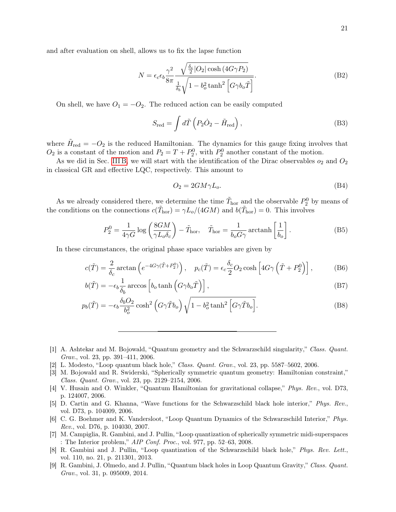and after evaluation on shell, allows us to fix the lapse function

$$
N = \epsilon_c \epsilon_b \frac{\gamma^2}{8\pi} \frac{\sqrt{\frac{\delta_c}{2} |O_2| \cosh\left(4G\gamma P_2\right)}}{\frac{1}{\delta_b} \sqrt{1 - b_o^2 \tanh^2 \left[G\gamma b_o \tilde{T}\right]}}.\tag{B2}
$$

On shell, we have  $O_1 = -O_2$ . The reduced action can be easily computed

$$
S_{\rm red} = \int d\tilde{T} \left( P_2 \dot{O}_2 - \tilde{H}_{\rm red} \right), \tag{B3}
$$

where  $\tilde{H}_{\text{red}} = -O_2$  is the reduced Hamiltonian. The dynamics for this gauge fixing involves that  $O_2$  is a constant of the motion and  $P_2 = T + P_2^0$ , with  $P_2^0$  another constant of the motion.

As we did in Sec. [III B,](#page-8-1) we will start with the identification of the Dirac observables  $o_2$  and  $O_2$ in classical GR and effective LQC, respectively. This amount to

$$
O_2 = 2GM\gamma L_o. \tag{B4}
$$

As we already considered there, we determine the time  $\tilde{T}_{\text{hor}}$  and the observable  $P_2^0$  by means of the conditions on the connections  $c(\tilde{T}_{\text{hor}}) = \gamma L_o/(4GM)$  and  $b(\tilde{T}_{\text{hor}}) = 0$ . This involves

$$
P_2^0 = \frac{1}{4\gamma G} \log \left( \frac{8GM}{\gamma L_o \delta_c} \right) - \tilde{T}_{\text{hor}}, \quad \tilde{T}_{\text{hor}} = \frac{1}{b_o G \gamma} \operatorname{arctanh} \left[ \frac{1}{b_o} \right]. \tag{B5}
$$

In these circumstances, the original phase space variables are given by

$$
c(\tilde{T}) = \frac{2}{\delta_c} \arctan\left(e^{-4G\gamma(\tilde{T} + P_2^0)}\right), \quad p_c(\tilde{T}) = \epsilon_c \frac{\delta_c}{2} O_2 \cosh\left[4G\gamma\left(\tilde{T} + P_2^0\right)\right],\tag{B6}
$$

$$
b(\tilde{T}) = -\epsilon_b \frac{1}{\delta_b} \arccos \left[ b_o \tanh \left( G \gamma b_o \tilde{T} \right) \right],\tag{B7}
$$

$$
p_b(\tilde{T}) = -\epsilon_b \frac{\delta_b O_2}{b_o^2} \cosh^2 \left( G \gamma \tilde{T} b_o \right) \sqrt{1 - b_o^2 \tanh^2 \left[ G \gamma \tilde{T} b_o \right]}.
$$
 (B8)

- <span id="page-21-0"></span>[1] A. Ashtekar and M. Bojowald, "Quantum geometry and the Schwarzschild singularity," Class. Quant. Grav., vol. 23, pp. 391–411, 2006.
- <span id="page-21-1"></span>[2] L. Modesto, "Loop quantum black hole," Class. Quant. Grav., vol. 23, pp. 5587–5602, 2006.
- [3] M. Bojowald and R. Swiderski, "Spherically symmetric quantum geometry: Hamiltonian constraint," Class. Quant. Grav., vol. 23, pp. 2129–2154, 2006.
- [4] V. Husain and O. Winkler, "Quantum Hamiltonian for gravitational collapse," Phys. Rev., vol. D73, p. 124007, 2006.
- [5] D. Cartin and G. Khanna, "Wave functions for the Schwarzschild black hole interior," Phys. Rev., vol. D73, p. 104009, 2006.
- <span id="page-21-3"></span>[6] C. G. Boehmer and K. Vandersloot, "Loop Quantum Dynamics of the Schwarzschild Interior," Phys. Rev., vol. D76, p. 104030, 2007.
- <span id="page-21-2"></span>[7] M. Campiglia, R. Gambini, and J. Pullin, "Loop quantization of spherically symmetric midi-superspaces : The Interior problem," AIP Conf. Proc., vol. 977, pp. 52–63, 2008.
- <span id="page-21-4"></span>[8] R. Gambini and J. Pullin, "Loop quantization of the Schwarzschild black hole," Phys. Rev. Lett., vol. 110, no. 21, p. 211301, 2013.
- <span id="page-21-5"></span>[9] R. Gambini, J. Olmedo, and J. Pullin, "Quantum black holes in Loop Quantum Gravity," Class. Quant. Grav., vol. 31, p. 095009, 2014.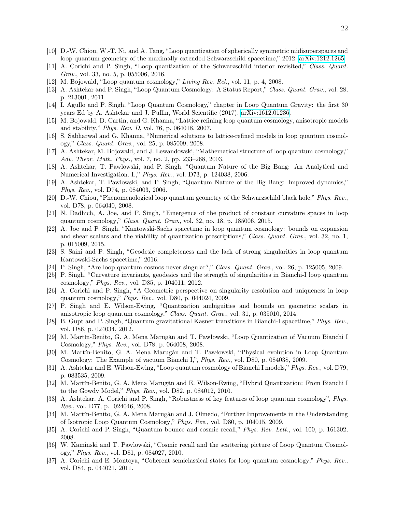- [10] D.-W. Chiou, W.-T. Ni, and A. Tang, "Loop quantization of spherically symmetric midisuperspaces and loop quantum geometry of the maximally extended Schwarzschild spacetime," 2012. [arXiv:1212.1265.](http://arxiv.org/abs/1212.1265)
- <span id="page-22-0"></span>[11] A. Corichi and P. Singh, "Loop quantization of the Schwarzschild interior revisited," Class. Quant. Grav., vol. 33, no. 5, p. 055006, 2016.
- <span id="page-22-1"></span>[12] M. Bojowald, "Loop quantum cosmology," Living Rev. Rel., vol. 11, p. 4, 2008.
- [13] A. Ashtekar and P. Singh, "Loop Quantum Cosmology: A Status Report," Class. Quant. Grav., vol. 28, p. 213001, 2011.
- <span id="page-22-2"></span>[14] I. Agullo and P. Singh, "Loop Quantum Cosmology," chapter in Loop Quantum Gravity: the first 30 years Ed by A. Ashtekar and J. Pullin, World Scientific (2017). [arXiv:1612.01236.](http://arxiv.org/abs/1612.01236)
- <span id="page-22-3"></span>[15] M. Bojowald, D. Cartin, and G. Khanna, "Lattice refining loop quantum cosmology, anisotropic models and stability," Phys. Rev. D, vol. 76, p. 064018, 2007.
- <span id="page-22-4"></span>[16] S. Sabharwal and G. Khanna, "Numerical solutions to lattice-refined models in loop quantum cosmology," Class. Quant. Grav., vol. 25, p. 085009, 2008.
- <span id="page-22-5"></span>[17] A. Ashtekar, M. Bojowald, and J. Lewandowski, "Mathematical structure of loop quantum cosmology," Adv. Theor. Math. Phys., vol. 7, no. 2, pp. 233–268, 2003.
- <span id="page-22-6"></span>[18] A. Ashtekar, T. Pawlowski, and P. Singh, "Quantum Nature of the Big Bang: An Analytical and Numerical Investigation. I.," Phys. Rev., vol. D73, p. 124038, 2006.
- <span id="page-22-7"></span>[19] A. Ashtekar, T. Pawlowski, and P. Singh, "Quantum Nature of the Big Bang: Improved dynamics," Phys. Rev., vol. D74, p. 084003, 2006.
- <span id="page-22-8"></span>[20] D.-W. Chiou, "Phenomenological loop quantum geometry of the Schwarzschild black hole," Phys. Rev., vol. D78, p. 064040, 2008.
- <span id="page-22-9"></span>[21] N. Dadhich, A. Joe, and P. Singh, "Emergence of the product of constant curvature spaces in loop quantum cosmology," Class. Quant. Grav., vol. 32, no. 18, p. 185006, 2015.
- <span id="page-22-10"></span>[22] A. Joe and P. Singh, "Kantowski-Sachs spacetime in loop quantum cosmology: bounds on expansion and shear scalars and the viability of quantization prescriptions," Class. Quant. Grav., vol. 32, no. 1, p. 015009, 2015.
- <span id="page-22-11"></span>[23] S. Saini and P. Singh, "Geodesic completeness and the lack of strong singularities in loop quantum Kantowski-Sachs spacetime," 2016.
- <span id="page-22-12"></span>[24] P. Singh, "Are loop quantum cosmos never singular?," Class. Quant. Grav., vol. 26, p. 125005, 2009.
- [25] P. Singh, "Curvature invariants, geodesics and the strength of singularities in Bianchi-I loop quantum cosmology," Phys. Rev., vol. D85, p. 104011, 2012.
- [26] A. Corichi and P. Singh, "A Geometric perspective on singularity resolution and uniqueness in loop quantum cosmology," Phys. Rev., vol. D80, p. 044024, 2009.
- <span id="page-22-13"></span>[27] P. Singh and E. Wilson-Ewing, "Quantization ambiguities and bounds on geometric scalars in anisotropic loop quantum cosmology," Class. Quant. Grav., vol. 31, p. 035010, 2014.
- <span id="page-22-14"></span>[28] B. Gupt and P. Singh, "Quantum gravitational Kasner transitions in Bianchi-I spacetime," Phys. Rev., vol. D86, p. 024034, 2012.
- <span id="page-22-15"></span>[29] M. Martín-Benito, G. A. Mena Marugán and T. Pawłowski, "Loop Quantization of Vacuum Bianchi I Cosmology," Phys. Rev., vol. D78, p. 064008, 2008.
- [30] M. Martín-Benito, G. A. Mena Marugán and T. Pawłowski, "Physical evolution in Loop Quantum Cosmology: The Example of vacuum Bianchi I,", Phys. Rev., vol. D80, p. 084038, 2009.
- [31] A. Ashtekar and E. Wilson-Ewing, "Loop quantum cosmology of Bianchi I models," Phys. Rev., vol. D79, p. 083535, 2009.
- <span id="page-22-16"></span>[32] M. Martín-Benito, G. A. Mena Marugán and E. Wilson-Ewing, "Hybrid Quantization: From Bianchi I to the Gowdy Model," Phys. Rev., vol. D82, p. 084012, 2010.
- <span id="page-22-17"></span>[33] A. Ashtekar, A. Corichi and P. Singh, "Robustness of key features of loop quantum cosmology", Phys. Rev., vol. D77, p. 024046, 2008.
- <span id="page-22-18"></span>[34] M. Martín-Benito, G. A. Mena Marugán and J. Olmedo, "Further Improvements in the Understanding of Isotropic Loop Quantum Cosmology," Phys. Rev., vol. D80, p. 104015, 2009.
- <span id="page-22-19"></span>[35] A. Corichi and P. Singh, "Quantum bounce and cosmic recall," Phys. Rev. Lett., vol. 100, p. 161302, 2008.
- [36] W. Kaminski and T. Pawlowski, "Cosmic recall and the scattering picture of Loop Quantum Cosmology," Phys. Rev., vol. D81, p. 084027, 2010.
- <span id="page-22-20"></span>[37] A. Corichi and E. Montoya, "Coherent semiclassical states for loop quantum cosmology," Phys. Rev., vol. D84, p. 044021, 2011.